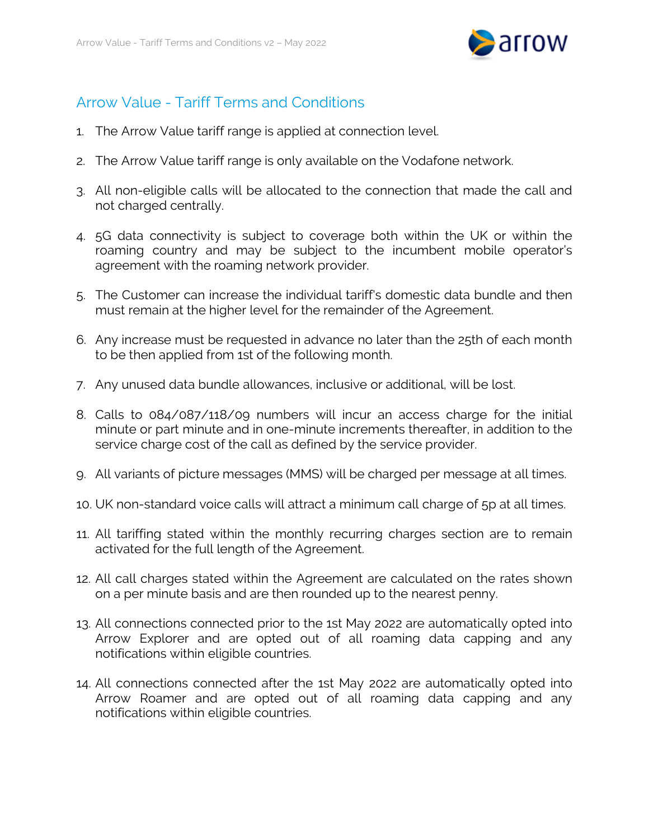

## Arrow Value - Tariff Terms and Conditions

- 1. The Arrow Value tariff range is applied at connection level.
- 2. The Arrow Value tariff range is only available on the Vodafone network.
- 3. All non-eligible calls will be allocated to the connection that made the call and not charged centrally.
- 4. 5G data connectivity is subject to coverage both within the UK or within the roaming country and may be subject to the incumbent mobile operator's agreement with the roaming network provider.
- 5. The Customer can increase the individual tariff's domestic data bundle and then must remain at the higher level for the remainder of the Agreement.
- 6. Any increase must be requested in advance no later than the 25th of each month to be then applied from 1st of the following month.
- 7. Any unused data bundle allowances, inclusive or additional, will be lost.
- 8. Calls to 084/087/118/09 numbers will incur an access charge for the initial minute or part minute and in one-minute increments thereafter, in addition to the service charge cost of the call as defined by the service provider.
- 9. All variants of picture messages (MMS) will be charged per message at all times.
- 10. UK non-standard voice calls will attract a minimum call charge of 5p at all times.
- 11. All tariffing stated within the monthly recurring charges section are to remain activated for the full length of the Agreement.
- 12. All call charges stated within the Agreement are calculated on the rates shown on a per minute basis and are then rounded up to the nearest penny.
- 13. All connections connected prior to the 1st May 2022 are automatically opted into Arrow Explorer and are opted out of all roaming data capping and any notifications within eligible countries.
- 14. All connections connected after the 1st May 2022 are automatically opted into Arrow Roamer and are opted out of all roaming data capping and any notifications within eligible countries.